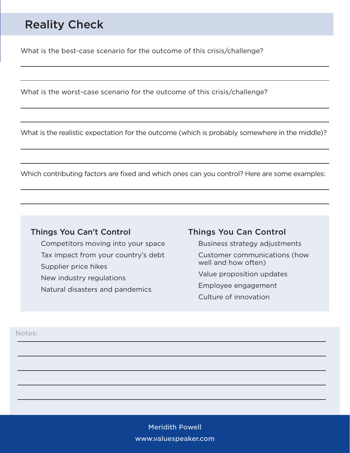# Reality Check

What is the best-case scenario for the outcome of this crisis/challenge?

What is the worst-case scenario for the outcome of this crisis/challenge?

What is the realistic expectation for the outcome (which is probably somewhere in the middle)?

Which contributing factors are fixed and which ones can you control? Here are some examples:

#### Things You Can't Control

Competitors moving into your space Tax impact from your country's debt Supplier price hikes New industry regulations Natural disasters and pandemics

#### Things You Can Control

Business strategy adjustments Customer communications (how well and how often) Value proposition updates Employee engagement Culture of innovation

Notes:

Meridith Powell www.valuespeaker.com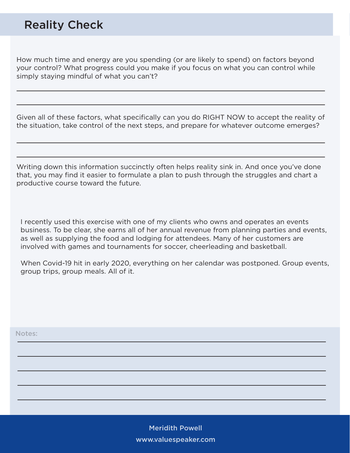## Reality Check

How much time and energy are you spending (or are likely to spend) on factors beyond your control? What progress could you make if you focus on what you can control while simply staying mindful of what you can't?

Given all of these factors, what specifically can you do RIGHT NOW to accept the reality of the situation, take control of the next steps, and prepare for whatever outcome emerges?

Writing down this information succinctly often helps reality sink in. And once you've done that, you may find it easier to formulate a plan to push through the struggles and chart a productive course toward the future.

I recently used this exercise with one of my clients who owns and operates an events business. To be clear, she earns all of her annual revenue from planning parties and events, as well as supplying the food and lodging for attendees. Many of her customers are involved with games and tournaments for soccer, cheerleading and basketball.

When Covid-19 hit in early 2020, everything on her calendar was postponed. Group events, group trips, group meals. All of it.

Notes:

Meridith Powell www.valuespeaker.com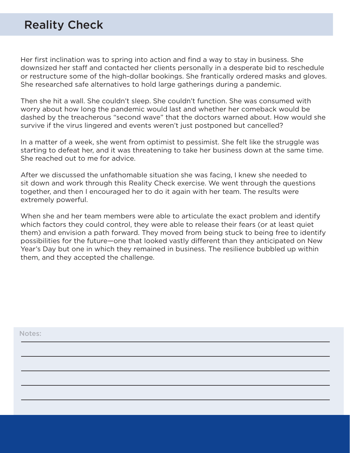## Reality Check

Her first inclination was to spring into action and find a way to stay in business. She downsized her staff and contacted her clients personally in a desperate bid to reschedule or restructure some of the high-dollar bookings. She frantically ordered masks and gloves. She researched safe alternatives to hold large gatherings during a pandemic.

Then she hit a wall. She couldn't sleep. She couldn't function. She was consumed with worry about how long the pandemic would last and whether her comeback would be dashed by the treacherous "second wave" that the doctors warned about. How would she survive if the virus lingered and events weren't just postponed but cancelled?

In a matter of a week, she went from optimist to pessimist. She felt like the struggle was starting to defeat her, and it was threatening to take her business down at the same time. She reached out to me for advice.

After we discussed the unfathomable situation she was facing, I knew she needed to sit down and work through this Reality Check exercise. We went through the questions together, and then I encouraged her to do it again with her team. The results were extremely powerful.

When she and her team members were able to articulate the exact problem and identify which factors they could control, they were able to release their fears (or at least quiet them) and envision a path forward. They moved from being stuck to being free to identify possibilities for the future—one that looked vastly different than they anticipated on New Year's Day but one in which they remained in business. The resilience bubbled up within them, and they accepted the challenge.

| Notes: |  |  |  |
|--------|--|--|--|
|        |  |  |  |
|        |  |  |  |
|        |  |  |  |
|        |  |  |  |
|        |  |  |  |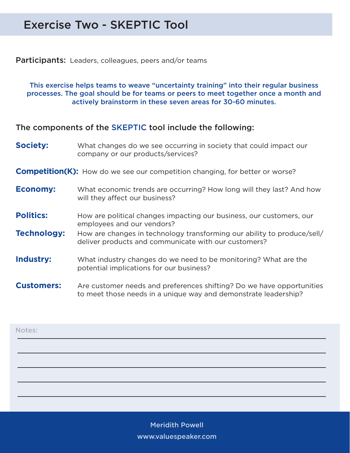## Exercise Two - SKEPTIC Tool

**Participants:** Leaders, colleagues, peers and/or teams

This exercise helps teams to weave "uncertainty training" into their regular business processes. The goal should be for teams or peers to meet together once a month and actively brainstorm in these seven areas for 30-60 minutes.

The components of the SKEPTIC tool include the following:

- **Society:** What changes do we see occurring in society that could impact our company or our products/services?
- **Competition(K):** How do we see our competition changing, for better or worse?
- **Economy:** What economic trends are occurring? How long will they last? And how will they affect our business?
- **Politics:** How are political changes impacting our business, our customers, our employees and our vendors?
- **Technology:** How are changes in technology transforming our ability to produce/sell/ deliver products and communicate with our customers?
- **Industry:** What industry changes do we need to be monitoring? What are the potential implications for our business?
- **Customers:** Are customer needs and preferences shifting? Do we have opportunities to meet those needs in a unique way and demonstrate leadership?

| Notes: |  |  |  |
|--------|--|--|--|
|        |  |  |  |
|        |  |  |  |
|        |  |  |  |
|        |  |  |  |

Meridith Powell Meridith Powell www.valuespeaker.com www.valuespeaker.com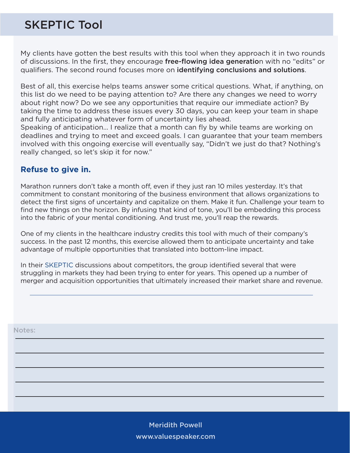# SKEPTIC Tool

My clients have gotten the best results with this tool when they approach it in two rounds of discussions. In the first, they encourage free-flowing idea generation with no "edits" or qualifiers. The second round focuses more on identifying conclusions and solutions.

Best of all, this exercise helps teams answer some critical questions. What, if anything, on this list do we need to be paying attention to? Are there any changes we need to worry about right now? Do we see any opportunities that require our immediate action? By taking the time to address these issues every 30 days, you can keep your team in shape and fully anticipating whatever form of uncertainty lies ahead.

Speaking of anticipation… I realize that a month can fly by while teams are working on deadlines and trying to meet and exceed goals. I can guarantee that your team members involved with this ongoing exercise will eventually say, "Didn't we just do that? Nothing's really changed, so let's skip it for now."

### **Refuse to give in.**

Marathon runners don't take a month off, even if they just ran 10 miles yesterday. It's that commitment to constant monitoring of the business environment that allows organizations to detect the first signs of uncertainty and capitalize on them. Make it fun. Challenge your team to find new things on the horizon. By infusing that kind of tone, you'll be embedding this process into the fabric of your mental conditioning. And trust me, you'll reap the rewards.

One of my clients in the healthcare industry credits this tool with much of their company's success. In the past 12 months, this exercise allowed them to anticipate uncertainty and take advantage of multiple opportunities that translated into bottom-line impact.

In their SKEPTIC discussions about competitors, the group identified several that were struggling in markets they had been trying to enter for years. This opened up a number of merger and acquisition opportunities that ultimately increased their market share and revenue.

Notes:

Meridith Powell www.valuespeaker.com